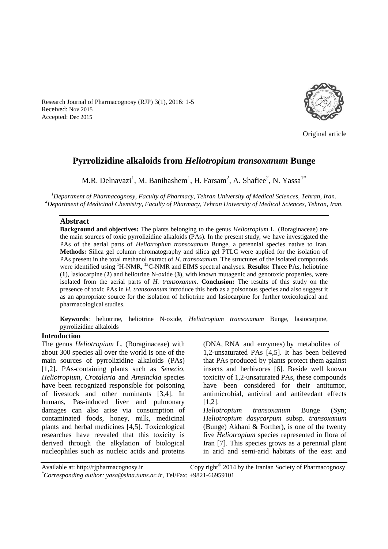Original article

# **Pyrrolizidine alkaloids from** *Heliotropium transoxanum* **Bunge**

M.R. Delnavazi<sup>1</sup>, M. Banihashem<sup>1</sup>, H. Farsam<sup>2</sup>, A. Shafiee<sup>2</sup>, N. Yassa<sup>1\*</sup>

*<sup>1</sup>Department of Pharmacognosy, Faculty of Pharmacy, Tehran University of Medical Sciences, Tehran, Iran. <sup>2</sup>Department of Medicinal Chemistry, Faculty of Pharmacy, Tehran University of Medical Sciences, Tehran, Iran.*

#### **Abstract**

Received: Nov 2015 Accepted: Dec 2015

> **Background and objectives:** The plants belonging to the genus *Heliotropium* L. (Boraginaceae) are the main sources of toxic pyrrolizidine alkaloids (PAs). In the present study, we have investigated the PAs of the aerial parts of *Heliotropium transoxanum* Bunge, a perennial species native to Iran. **Methods:** Silica gel column chromatography and silica gel PTLC were applied for the isolation of PAs present in the total methanol extract of *H. transoxanum*. The structures of the isolated compounds were identified using <sup>1</sup>H-NMR, <sup>13</sup>C-NMR and EIMS spectral analyses. **Results:** Three PAs, heliotrine (**1**), lasiocarpine (**2**) and heliotrine N-oxide (**3**), with known mutagenic and genotoxic properties, were isolated from the aerial parts of *H. transoxanum*. **Conclusion:** The results of this study on the presence of toxic PAs in *H. transoxanum* introduce this herb as a poisonous species and also suggest it as an appropriate source for the isolation of heliotrine and lasiocarpine for further toxicological and pharmacological studies.

> **Keywords**: heliotrine, heliotrine N-oxide, *Heliotropium transoxanum* Bunge, lasiocarpine, pyrrolizidine alkaloids

#### **Introduction**

The genus *Heliotropium* L. (Boraginaceae) with about 300 species all over the world is one of the main sources of pyrrolizidine alkaloids (PAs) [1,2]. PAs-containing plants such as *Senecio*, *Heliotropium, Crotalaria* and *Amsinckia* species have been recognized responsible for poisoning of livestock and other ruminants [3,4]. In humans, Pas-induced liver and pulmonary damages can also arise via consumption of contaminated foods, honey, milk, medicinal plants and herbal medicines [4,5]. Toxicological researches have revealed that this toxicity is derived through the alkylation of biological nucleophiles such as nucleic acids and proteins

Research Journal of Pharmacognosy (RJP) 3(1), 2016: 1-5

(DNA, RNA and enzymes) by metabolites of 1,2-unsaturated PAs [4,5]. It has been believed that PAs produced by plants protect them against insects and herbivores [6]. Beside well known toxicity of 1,2-unsaturated PAs, these compounds have been considered for their antitumor, antimicrobial, antiviral and antifeedant effects [1,2].

*Heliotropium transoxanum* Bunge (Syn; *Heliotropium dasycarpum* subsp. *transoxanum* (Bunge) Akhani & Forther), is one of the twenty five *Heliotropium* species represented in flora of Iran [7]. This species grows as a perennial plant in arid and semi-arid habitats of the east and

Available at: http://rjpharmacognosy.ir Copy right $^{\circ}$  2014 by the Iranian Society of Pharmacognosy *\*Corresponding author: yasa@sina.tums.ac.ir,* Tel/Fax: +9821-66959101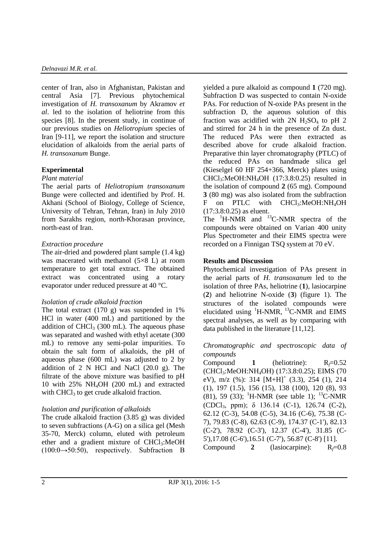center of Iran, also in Afghanistan, Pakistan and central Asia [7]. Previous phytochemical investigation of *H. transoxanum* by Akramov *et al*. led to the isolation of heliotrine from this species [8]. In the present study, in continue of our previous studies on *Heliotropium* species of Iran [9-11], we report the isolation and structure elucidation of alkaloids from the aerial parts of *H. transoxanum* Bunge.

# **Experimental**

## *Plant material*

The aerial parts of *Heliotropium transoxanum* Bunge were collected and identified by Prof. H. Akhani (School of Biology, College of Science, University of Tehran, Tehran, Iran) in July 2010 from Sarakhs region, north-Khorasan province, north-east of Iran.

# *Extraction procedure*

The air-dried and powdered plant sample (1.4 kg) was macerated with methanol  $(5\times8)$  L) at room temperature to get total extract. The obtained extract was concentrated using a rotary evaporator under reduced pressure at 40 °C.

#### *Isolation of crude alkaloid fraction*

The total extract  $(170 \text{ g})$  was suspended in 1% HCl in water (400 mL) and partitioned by the addition of  $CHCl<sub>3</sub>$  (300 mL). The aqueous phase was separated and washed with ethyl acetate (300 mL) to remove any semi-polar impurities. To obtain the salt form of alkaloids, the pH of aqueous phase (600 mL) was adjusted to 2 by addition of 2 N HCl and NaCl  $(20.0 \text{ g})$ . The filtrate of the above mixture was basified to pH 10 with 25% NH4OH (200 mL) and extracted with  $CHCl<sub>3</sub>$  to get crude alkaloid fraction.

# *Isolation and purification of alkaloids*

The crude alkaloid fraction (3.85 g) was divided to seven subfractions (A-G) on a silica gel (Mesh 35-70, Merck) column, eluted with petroleum ether and a gradient mixture of  $CHCl<sub>3</sub>:MeOH$  $(100:0 \rightarrow 50:50)$ , respectively. Subfraction B yielded a pure alkaloid as compound **1** (720 mg). Subfraction D was suspected to contain N-oxide PAs. For reduction of N-oxide PAs present in the subfraction D, the aqueous solution of this fraction was acidified with  $2N$  H<sub>2</sub>SO<sub>4</sub> to pH 2 and stirred for 24 h in the presence of Zn dust. The reduced PAs were then extracted as described above for crude alkaloid fraction. Preparative thin layer chromatography (PTLC) of the reduced PAs on handmade silica gel (Kieselgel 60 HF 254+366, Merck) plates using CHCl3:MeOH:NH4OH (17:3.8:0.25) resulted in the isolation of compound **2** (65 mg). Compound **3** (80 mg) was also isolated from the subfraction F on PTLC with CHCl<sub>3</sub>:MeOH:NH<sub>4</sub>OH (17:3.8:0.25) as eluent.

The <sup>1</sup>H-NMR and <sup>13</sup>C-NMR spectra of the compounds were obtained on Varian 400 unity Plus Spectrometer and their EIMS spectra were recorded on a Finnigan TSQ system at 70 eV.

# **Results and Discussion**

Phytochemical investigation of PAs present in the aerial parts of *H. transoxanum* led to the isolation of three PAs, heliotrine (**1**), lasiocarpine (**2**) and heliotrine N-oxide (**3**) (figure 1). The structures of the isolated compounds were elucidated using  ${}^{1}$ H-NMR,  ${}^{13}$ C-NMR and EIMS spectral analyses, as well as by comparing with data published in the literature [11,12].

## *Chromatographic and spectroscopic data of compounds*

Compound 1 (heliotrine):  $R_f=0.52$ (CHCl3:MeOH:NH4OH) (17:3.8:0.25); EIMS (70 eV), m/z (%): 314  $[M+H]^+$  (3.3), 254 (1), 214 (1), 197 (1.5), 156 (15), 138 (100), 120 (8), 93 (81), 59 (33); <sup>1</sup>H-NMR (see table 1); <sup>13</sup>C-NMR (CDCl3, ppm); δ 136.14 (C-1), 126.74 (C-2), 62.12 (C-3), 54.08 (C-5), 34.16 (C-6), 75.38 (C-7), 79.83 (C-8), 62.63 (C-9), 174.37 (C-1'), 82.13 (C-2'), 78.92 (C-3'), 12.37 (C-4'), 31.85 (C-5'),17.08 (C-6'),16.51 (C-7'), 56.87 (C-8') [11]. Compound 2 (lasiocarpine):  $R_f=0.8$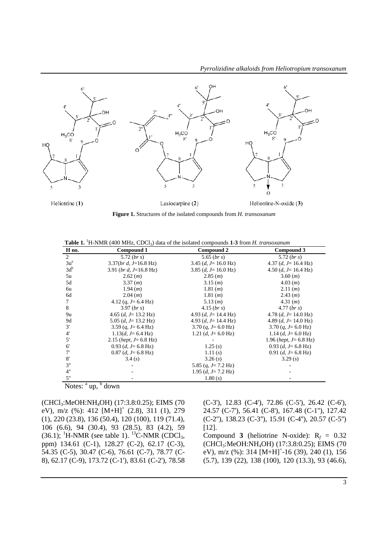

**Figure 1.** Structures of the isolated compounds from *H. transoxanum*

Table 1. <sup>1</sup>H-NMR (400 MHz, CDCl<sub>3</sub>) data of the isolated compounds 1-3 from *H. transoxanum* 

| H no.                 | Compound 1                    | Compound 2                            | Compound 3                            |
|-----------------------|-------------------------------|---------------------------------------|---------------------------------------|
| $\overline{2}$        | 5.72 (br s)                   | 5.65 $(br s)$                         | 5.72 $(br s)$                         |
| $3u^a$                | $3.37(brd, J=16.8 Hz)$        | 3.45 $(d, J=16.0 \text{ Hz})$         | 4.37 (d, $J=16.4$ Hz)                 |
| $3d^b$                | 3.91 (br d, $J=16.8$ Hz)      | 3.85 ( <i>d</i> , <i>J</i> = 16.0 Hz) | 4.50 ( <i>d</i> , <i>J</i> = 16.4 Hz) |
| 5u                    | 2.62(m)                       | 2.85(m)                               | 3.60(m)                               |
| 5d                    | 3.37(m)                       | 3.15(m)                               | 4.03(m)                               |
| 6u                    | 1.94 (m)                      | 1.81(m)                               | 2.11(m)                               |
| 6d                    | 2.04(m)                       | 1.81(m)                               | 2.43(m)                               |
|                       | 4.12 $(q, J=6.4 \text{ Hz})$  | 5.13(m)                               | 4.31(m)                               |
| 8                     | 3.97 (brs)                    | $4.15$ ( <i>br s</i> )                | 4.77 (br s)                           |
| 9u                    | 4.65 $(d, J=13.2 \text{ Hz})$ | 4.93 (d, $J=14.4$ Hz)                 | 4.78 (d, $J=14.0$ Hz)                 |
| 9d                    | 5.05 $(d, J=13.2 \text{ Hz})$ | 4.93 (d, $J=14.4$ Hz)                 | 4.89 (d, $J=14.0$ Hz)                 |
| 3'                    | 3.59 $(q, J=6.4 \text{ Hz})$  | 3.70 $(q, J=6.0 \text{ Hz})$          | 3.70 $(q, J=6.0 \text{ Hz})$          |
| $4^{\prime}$          | $1.13(d, J=6.4 \text{ Hz})$   | 1.21 (d, $J=6.0$ Hz)                  | 1.14 $(d, J=6.0 \text{ Hz})$          |
| 5'                    | 2.15 (hept, $J=6.8$ Hz)       |                                       | 1.96 (hept, $J=6.8$ Hz)               |
| 6'                    | $0.93$ (d, J = 6.8 Hz)        | 1.25(s)                               | $0.93$ (d, J = 6.8 Hz)                |
| 7'                    | $0.87$ (d, J = 6.8 Hz)        | 1.11(s)                               | $0.91$ (d, J = 6.8 Hz)                |
| 8'                    | 3.4(s)                        | 3.26(s)                               | 3.29(s)                               |
| 3"                    |                               | 5.85 $(q, J=7.2 \text{ Hz})$          |                                       |
| 4"                    |                               | 1.95 $(d, J= 7.2 \text{ Hz})$         |                                       |
| 5"                    |                               | 1.80(s)                               |                                       |
| Notes:<br>down<br>up, |                               |                                       |                                       |

(CHCl3:MeOH:NH4OH) (17:3.8:0.25); EIMS (70 eV), m/z (%): 412 [M+H]<sup>+</sup> (2.8), 311 (1), 279 (1), 220 (23.8), 136 (50.4), 120 (100), 119 (71.4), 106 (6.6), 94 (30.4), 93 (28.5), 83 (4.2), 59  $(36.1);$  <sup>1</sup>H-NMR (see table 1). <sup>13</sup>C-NMR (CDCl<sub>3</sub>, ppm) 134.61 (C-1), 128.27 (C-2), 62.17 (C-3), 54.35 (C-5), 30.47 (C-6), 76.61 (C-7), 78.77 (C-8), 62.17 (C-9), 173.72 (C-1'), 83.61 (C-2'), 78.58

(C-3'), 12.83 (C-4'), 72.86 (C-5'), 26.42 (C-6'), 24.57 (C-7'), 56.41 (C-8'), 167.48 (C-1''), 127.42 (C-2''), 138.23 (C-3''), 15.91 (C-4''), 20.57 (C-5'') [12].

Compound **3** (heliotrine N-oxide):  $R_f = 0.32$ (CHCl3:MeOH:NH4OH) (17:3.8:0.25); EIMS (70 eV), m/z (%): 314  $[M+H]$ <sup>+</sup>-16 (39), 240 (1), 156 (5.7), 139 (22), 138 (100), 120 (13.3), 93 (46.6),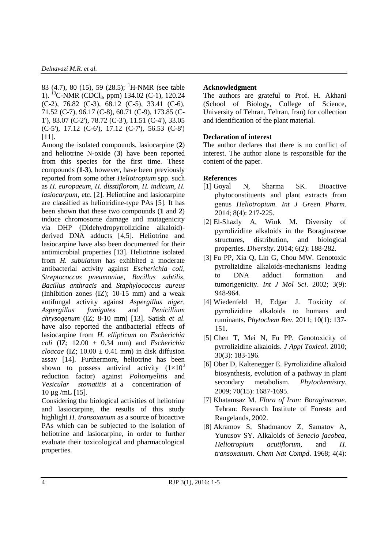83 (4.7), 80 (15), 59 (28.5); <sup>1</sup>H-NMR (see table 1). <sup>13</sup>C-NMR (CDCl3, ppm) 134.02 (C-1), 120.24 (C-2), 76.82 (C-3), 68.12 (C-5), 33.41 (C-6), 71.52 (C-7), 96.17 (C-8), 60.71 (C-9), 173.85 (C-1'), 83.07 (C-2'), 78.72 (C-3'), 11.51 (C-4'), 33.05 (C-5'), 17.12 (C-6'), 17.12 (C-7'), 56.53 (C-8') [11].

Among the isolated compounds, lasiocarpine (**2**) and heliotrine N-oxide (**3**) have been reported from this species for the first time. These compounds (**1**-**3**), however, have been previously reported from some other *Heliotropium* spp. such as *H. europaeum*, *H. disstiflorom*, *H. indicum*, *H. lasiocarpum,* etc. [2]. Heliotrine and lasiocarpine are classified as heliotridine-type PAs [5]. It has been shown that these two compounds (**1** and **2**) induce chromosome damage and mutagenicity via DHP (Didehydropyrrolizidine alkaloid) derived DNA adducts [4,5]. Heliotrine and lasiocarpine have also been documented for their antimicrobial properties [13]. Heliotrine isolated from *H. subulatum* has exhibited a moderate antibacterial activity against *Escherichia coli*, *Streptococcus pneumoniae*, *Bacillus subtilis*, *Bacillus anthracis* and *Staphylococcus aureus* (Inhibition zones (IZ); 10-15 mm) and a weak antifungal activity against *Aspergillus niger*, *Aspergillus fumigates* and *Penicillium chrysogenum* (IZ; 8-10 mm) [13]. Satish *et al*. have also reported the antibacterial effects of lasiocarpine from *H. ellipticum* on *Escherichia coli* (IZ; 12.00 ± 0.34 mm) and *Escherichia cloacae* (IZ:  $10.00 \pm 0.41$  mm) in disk diffusion assay [14]. Furthermore, heliotrine has been shown to possess antiviral activity  $(1\times10^3)$ reduction factor) against *Poliomyelitis* and *Vesicular stomatitis* at a concentration of 10 µg /mL [15].

Considering the biological activities of heliotrine and lasiocarpine, the results of this study highlight *H. transoxanum* as a source of bioactive PAs which can be subjected to the isolation of heliotrine and lasiocarpine, in order to further evaluate their toxicological and pharmacological properties.

#### **Acknowledgment**

The authors are grateful to Prof. H. Akhani (School of Biology, College of Science, University of Tehran, Tehran, Iran) for collection and identification of the plant material.

#### **Declaration of interest**

The author declares that there is no conflict of interest. The author alone is responsible for the content of the paper.

#### **References**

- [1] Goyal N, Sharma SK. Bioactive phytoconstituents and plant extracts from genus *Heliotropium*. *Int J Green Pharm*. 2014; 8(4): 217-225.
- [2] El-Shazly A, Wink M. Diversity of pyrrolizidine alkaloids in the Boraginaceae structures, distribution, and biological properties. *Diversity*. 2014; 6(2): 188-282.
- [3] Fu PP, Xia Q, Lin G, Chou MW. Genotoxic pyrrolizidine alkaloids-mechanisms leading to DNA adduct formation and tumorigenicity. *Int J Mol Sci*. 2002; 3(9): 948-964.
- [4] Wiedenfeld H, Edgar J. Toxicity of pyrrolizidine alkaloids to humans and ruminants. *Phytochem Rev*. 2011; 10(1): 137- 151.
- [5] Chen T, Mei N, Fu PP. Genotoxicity of pyrrolizidine alkaloids. *J Appl Toxicol*. 2010; 30(3): 183-196.
- [6] Ober D, Kaltenegger E. Pyrrolizidine alkaloid biosynthesis, evolution of a pathway in plant secondary metabolism. *Phytochemistry*. 2009; 70(15): 1687-1695.
- [7] Khatamsaz M. *Flora of Iran: Boraginaceae*. Tehran: Research Institute of Forests and Rangelands, 2002.
- [8] Akramov S, Shadmanov Z, Samatov A, Yunusov SY. Alkaloids of *Senecio jacobea*, *Heliotropium acutiflorum*, and *H. transoxanum*. *Chem Nat Compd*. 1968; 4(4):